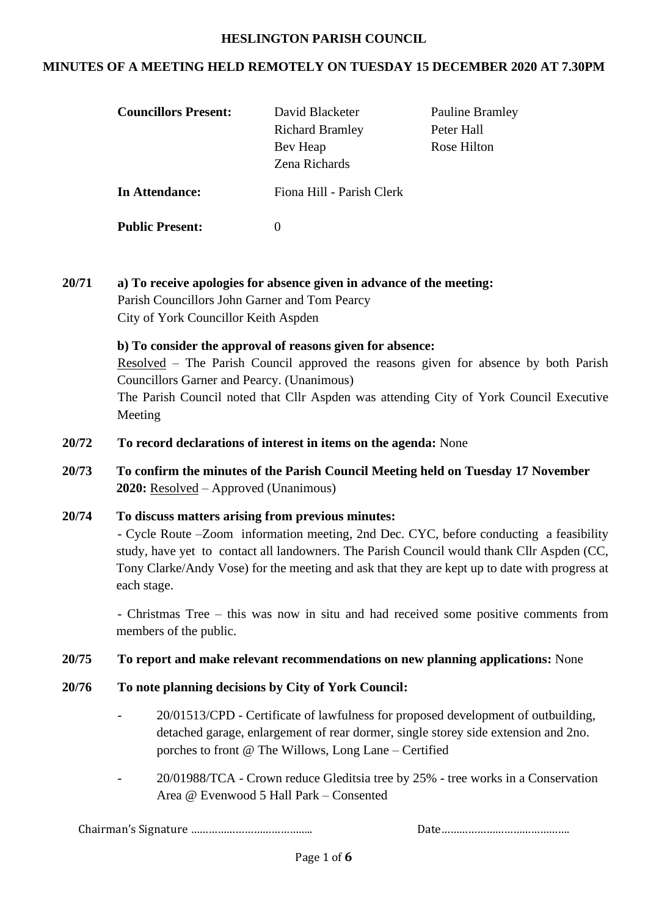#### **HESLINGTON PARISH COUNCIL**

### **MINUTES OF A MEETING HELD REMOTELY ON TUESDAY 15 DECEMBER 2020 AT 7.30PM**

| <b>Councillors Present:</b> | David Blacketer<br><b>Richard Bramley</b><br>Bev Heap<br>Zena Richards | <b>Pauline Bramley</b><br>Peter Hall<br>Rose Hilton |
|-----------------------------|------------------------------------------------------------------------|-----------------------------------------------------|
| In Attendance:              | Fiona Hill - Parish Clerk                                              |                                                     |
| <b>Public Present:</b>      | $\mathbf{\Omega}$                                                      |                                                     |

**20/71 a) To receive apologies for absence given in advance of the meeting:** Parish Councillors John Garner and Tom Pearcy City of York Councillor Keith Aspden

> **b) To consider the approval of reasons given for absence:** Resolved – The Parish Council approved the reasons given for absence by both Parish Councillors Garner and Pearcy. (Unanimous) The Parish Council noted that Cllr Aspden was attending City of York Council Executive Meeting

- **20/72 To record declarations of interest in items on the agenda:** None
- **20/73 To confirm the minutes of the Parish Council Meeting held on Tuesday 17 November 2020:** Resolved – Approved (Unanimous)

# **20/74 To discuss matters arising from previous minutes:** - Cycle Route –Zoom information meeting, 2nd Dec. CYC, before conducting a feasibility study, have yet to contact all landowners. The Parish Council would thank Cllr Aspden (CC, Tony Clarke/Andy Vose) for the meeting and ask that they are kept up to date with progress at each stage.

- Christmas Tree – this was now in situ and had received some positive comments from members of the public.

 **20/75 To report and make relevant recommendations on new planning applications:** None

- **20/76 To note planning decisions by City of York Council:** 
	- 20/01513/CPD Certificate of lawfulness for proposed development of outbuilding, detached garage, enlargement of rear dormer, single storey side extension and 2no. porches to front @ The Willows, Long Lane – Certified
	- 20/01988/TCA Crown reduce Gleditsia tree by 25% tree works in a Conservation Area @ Evenwood 5 Hall Park – Consented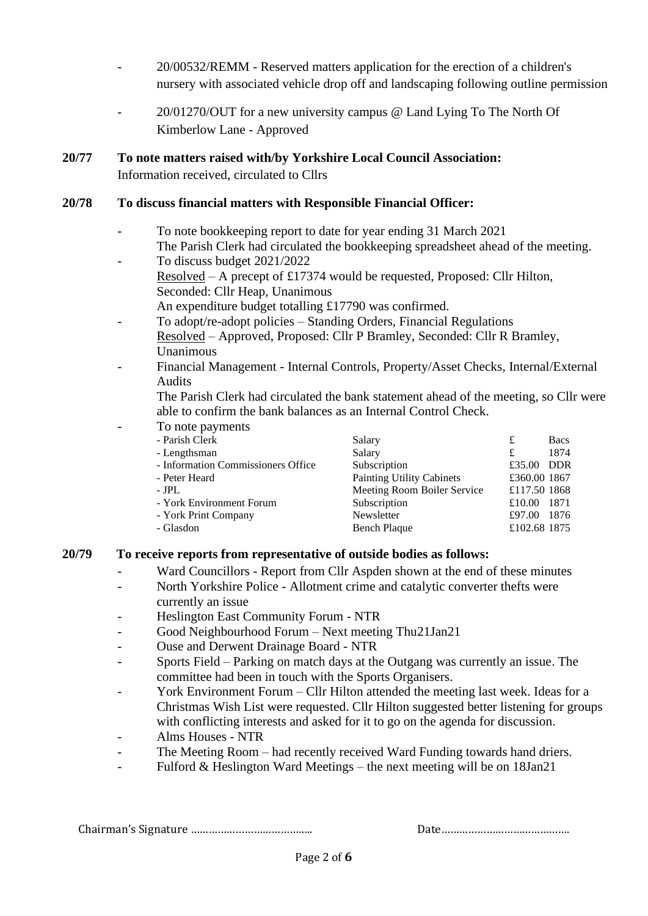- 20/00532/REMM Reserved matters application for the erection of a children's nursery with associated vehicle drop off and landscaping following outline permission
- 20/01270/OUT for a new university campus @ Land Lying To The North Of Kimberlow Lane - Approved
- **20/77 To note matters raised with/by Yorkshire Local Council Association:** Information received, circulated to Cllrs

## **20/78 To discuss financial matters with Responsible Financial Officer:**

- To note bookkeeping report to date for year ending 31 March 2021 The Parish Clerk had circulated the bookkeeping spreadsheet ahead of the meeting.
- To discuss budget 2021/2022 Resolved – A precept of £17374 would be requested, Proposed: Cllr Hilton, Seconded: Cllr Heap, Unanimous
	- An expenditure budget totalling £17790 was confirmed.
- To adopt/re-adopt policies Standing Orders, Financial Regulations Resolved – Approved, Proposed: Cllr P Bramley, Seconded: Cllr R Bramley, Unanimous
- Financial Management Internal Controls, Property/Asset Checks, Internal/External Audits

The Parish Clerk had circulated the bank statement ahead of the meeting, so Cllr were able to confirm the bank balances as an Internal Control Check.

To note payments

| $10 \text{ m}$ $\mu$ , $\mu$ <sup>1</sup> |                                  |              |             |
|-------------------------------------------|----------------------------------|--------------|-------------|
| - Parish Clerk                            | Salary                           | £            | <b>Bacs</b> |
| - Lengthsman                              | Salary                           | £            | 1874        |
| - Information Commissioners Office        | Subscription                     | £35.00 DDR   |             |
| - Peter Heard                             | <b>Painting Utility Cabinets</b> | £360.00 1867 |             |
| $-$ JPL                                   | Meeting Room Boiler Service      | £117.50 1868 |             |
| - York Environment Forum                  | Subscription                     | £10.00       | - 1871      |
| - York Print Company                      | Newsletter                       | £97.00       | 1876        |
| - Glasdon                                 | Bench Plaque                     | £102.68 1875 |             |
|                                           |                                  |              |             |

#### **20/79 To receive reports from representative of outside bodies as follows:**

- Ward Councillors Report from Cllr Aspden shown at the end of these minutes
- North Yorkshire Police Allotment crime and catalytic converter thefts were currently an issue
- Heslington East Community Forum NTR
- Good Neighbourhood Forum Next meeting Thu21Jan21
- Ouse and Derwent Drainage Board NTR
- Sports Field Parking on match days at the Outgang was currently an issue. The committee had been in touch with the Sports Organisers.
- York Environment Forum Cllr Hilton attended the meeting last week. Ideas for a Christmas Wish List were requested. Cllr Hilton suggested better listening for groups with conflicting interests and asked for it to go on the agenda for discussion.
- Alms Houses NTR
- The Meeting Room had recently received Ward Funding towards hand driers.
- Fulford  $&$  Heslington Ward Meetings the next meeting will be on 18Jan21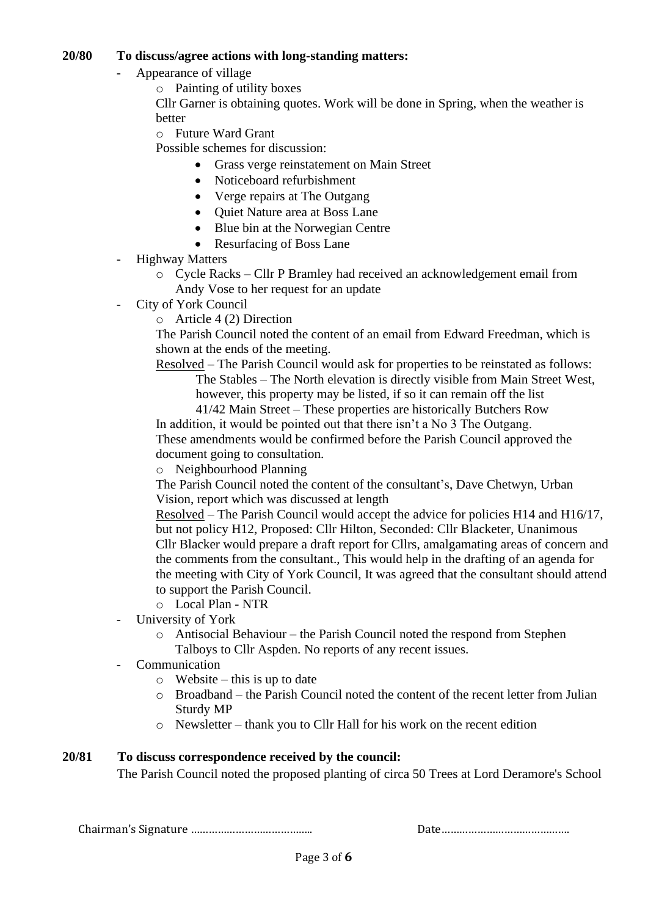### **20/80 To discuss/agree actions with long-standing matters:**

- Appearance of village
	- o Painting of utility boxes

Cllr Garner is obtaining quotes. Work will be done in Spring, when the weather is better

o Future Ward Grant

Possible schemes for discussion:

- Grass verge reinstatement on Main Street
- Noticeboard refurbishment
- Verge repairs at The Outgang
- Quiet Nature area at Boss Lane
- Blue bin at the Norwegian Centre
- Resurfacing of Boss Lane
- **Highway Matters** 
	- o Cycle Racks Cllr P Bramley had received an acknowledgement email from Andy Vose to her request for an update
- City of York Council
	- o Article 4 (2) Direction

The Parish Council noted the content of an email from Edward Freedman, which is shown at the ends of the meeting.

Resolved – The Parish Council would ask for properties to be reinstated as follows: The Stables – The North elevation is directly visible from Main Street West, however, this property may be listed, if so it can remain off the list

41/42 Main Street – These properties are historically Butchers Row In addition, it would be pointed out that there isn't a No 3 The Outgang. These amendments would be confirmed before the Parish Council approved the document going to consultation.

o Neighbourhood Planning

The Parish Council noted the content of the consultant's, Dave Chetwyn, Urban Vision, report which was discussed at length

Resolved – The Parish Council would accept the advice for policies H14 and H16/17, but not policy H12, Proposed: Cllr Hilton, Seconded: Cllr Blacketer, Unanimous Cllr Blacker would prepare a draft report for Cllrs, amalgamating areas of concern and the comments from the consultant., This would help in the drafting of an agenda for the meeting with City of York Council, It was agreed that the consultant should attend to support the Parish Council.

- o Local Plan NTR
- University of York
	- o Antisocial Behaviour the Parish Council noted the respond from Stephen Talboys to Cllr Aspden. No reports of any recent issues.
- **Communication** 
	- $\circ$  Website this is up to date
	- o Broadband the Parish Council noted the content of the recent letter from Julian Sturdy MP
	- o Newsletter thank you to Cllr Hall for his work on the recent edition

### **20/81 To discuss correspondence received by the council:**

The Parish Council noted the proposed planting of circa 50 Trees at Lord Deramore's School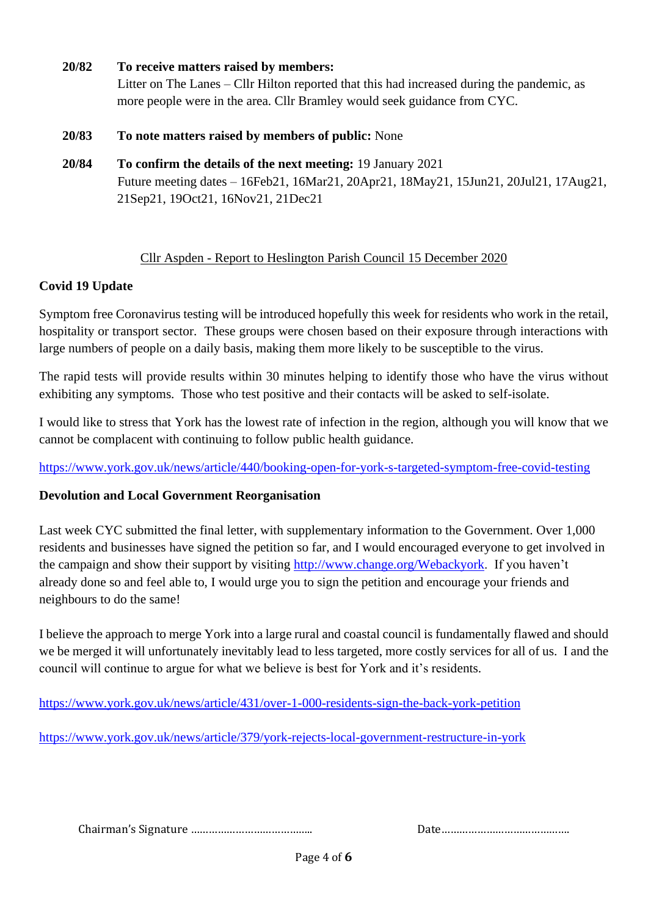- **20/82 To receive matters raised by members:** Litter on The Lanes – Cllr Hilton reported that this had increased during the pandemic, as more people were in the area. Cllr Bramley would seek guidance from CYC. **20/83 To note matters raised by members of public:** None
- **20/84 To confirm the details of the next meeting:** 19 January 2021 Future meeting dates – 16Feb21, 16Mar21, 20Apr21, 18May21, 15Jun21, 20Jul21, 17Aug21, 21Sep21, 19Oct21, 16Nov21, 21Dec21

## Cllr Aspden - Report to Heslington Parish Council 15 December 2020

## **Covid 19 Update**

Symptom free Coronavirus testing will be introduced hopefully this week for residents who work in the retail, hospitality or transport sector. These groups were chosen based on their exposure through interactions with large numbers of people on a daily basis, making them more likely to be susceptible to the virus.

The rapid tests will provide results within 30 minutes helping to identify those who have the virus without exhibiting any symptoms. Those who test positive and their contacts will be asked to self-isolate.

I would like to stress that York has the lowest rate of infection in the region, although you will know that we cannot be complacent with continuing to follow public health guidance.

<https://www.york.gov.uk/news/article/440/booking-open-for-york-s-targeted-symptom-free-covid-testing>

# **Devolution and Local Government Reorganisation**

Last week CYC submitted the final letter, with supplementary information to the Government. Over 1,000 residents and businesses have signed the petition so far, and I would encouraged everyone to get involved in the campaign and show their support by visiting [http://www.change.org/Webackyork.](http://www.change.org/Webackyork) If you haven't already done so and feel able to, I would urge you to sign the petition and encourage your friends and neighbours to do the same!

I believe the approach to merge York into a large rural and coastal council is fundamentally flawed and should we be merged it will unfortunately inevitably lead to less targeted, more costly services for all of us. I and the council will continue to argue for what we believe is best for York and it's residents.

<https://www.york.gov.uk/news/article/431/over-1-000-residents-sign-the-back-york-petition>

<https://www.york.gov.uk/news/article/379/york-rejects-local-government-restructure-in-york>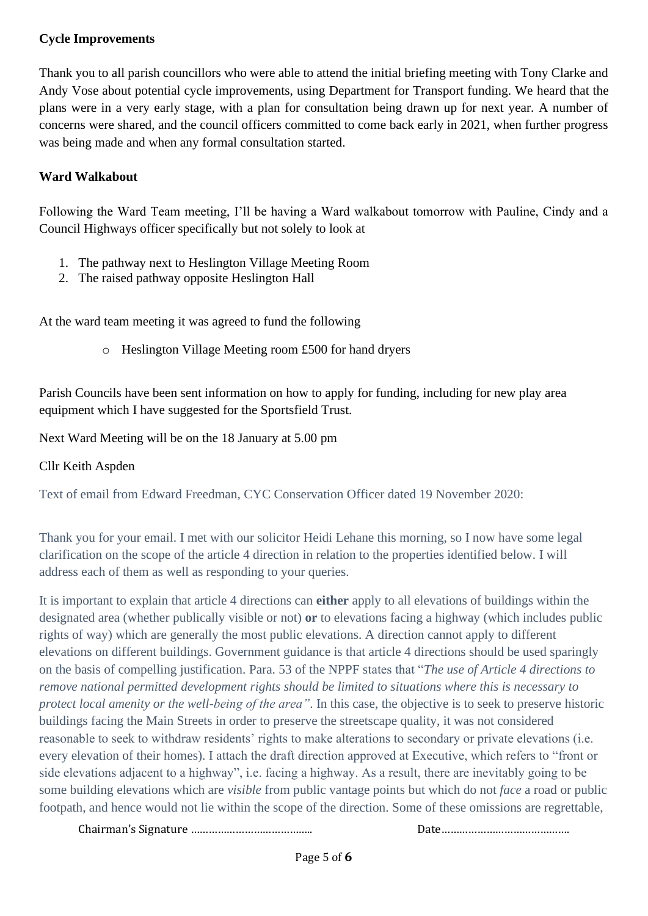## **Cycle Improvements**

Thank you to all parish councillors who were able to attend the initial briefing meeting with Tony Clarke and Andy Vose about potential cycle improvements, using Department for Transport funding. We heard that the plans were in a very early stage, with a plan for consultation being drawn up for next year. A number of concerns were shared, and the council officers committed to come back early in 2021, when further progress was being made and when any formal consultation started.

# **Ward Walkabout**

Following the Ward Team meeting, I'll be having a Ward walkabout tomorrow with Pauline, Cindy and a Council Highways officer specifically but not solely to look at

- 1. The pathway next to Heslington Village Meeting Room
- 2. The raised pathway opposite Heslington Hall

At the ward team meeting it was agreed to fund the following

o Heslington Village Meeting room £500 for hand dryers

Parish Councils have been sent information on how to apply for funding, including for new play area equipment which I have suggested for the Sportsfield Trust.

Next Ward Meeting will be on the 18 January at 5.00 pm

# Cllr Keith Aspden

Text of email from Edward Freedman, CYC Conservation Officer dated 19 November 2020:

Thank you for your email. I met with our solicitor Heidi Lehane this morning, so I now have some legal clarification on the scope of the article 4 direction in relation to the properties identified below. I will address each of them as well as responding to your queries.

It is important to explain that article 4 directions can **either** apply to all elevations of buildings within the designated area (whether publically visible or not) **or** to elevations facing a highway (which includes public rights of way) which are generally the most public elevations. A direction cannot apply to different elevations on different buildings. Government guidance is that article 4 directions should be used sparingly on the basis of compelling justification. Para. 53 of the NPPF states that "*The use of Article 4 directions to remove national permitted development rights should be limited to situations where this is necessary to protect local amenity or the well-being of the area"*. In this case, the objective is to seek to preserve historic buildings facing the Main Streets in order to preserve the streetscape quality, it was not considered reasonable to seek to withdraw residents' rights to make alterations to secondary or private elevations (i.e. every elevation of their homes). I attach the draft direction approved at Executive, which refers to "front or side elevations adjacent to a highway", i.e. facing a highway. As a result, there are inevitably going to be some building elevations which are *visible* from public vantage points but which do not *face* a road or public footpath, and hence would not lie within the scope of the direction. Some of these omissions are regrettable,